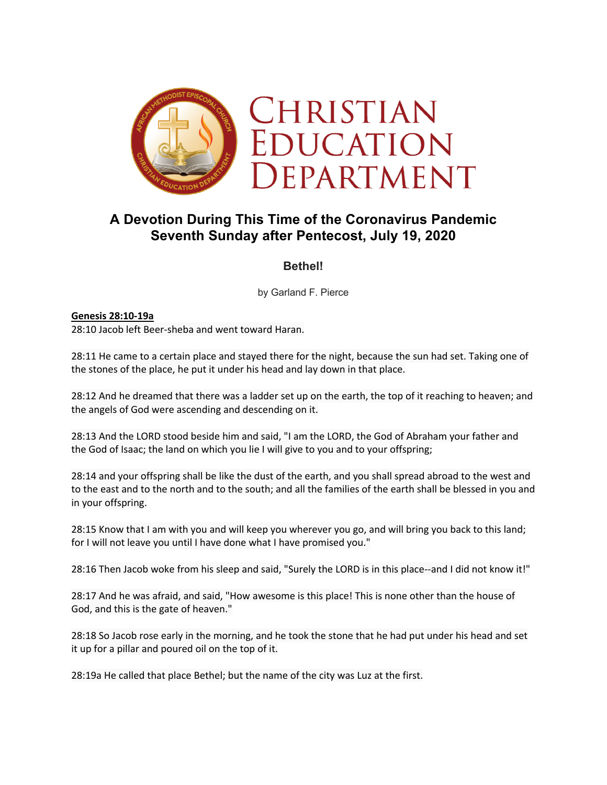

# **A Devotion During This Time of the Coronavirus Pandemic Seventh Sunday after Pentecost, July 19, 2020**

## **Bethel!**

by Garland F. Pierce

#### **Genesis 28:10-19a** 28:10 Jacob left Beer-sheba and went toward Haran.

28:11 He came to a certain place and stayed there for the night, because the sun had set. Taking one of the stones of the place, he put it under his head and lay down in that place.

28:12 And he dreamed that there was a ladder set up on the earth, the top of it reaching to heaven; and the angels of God were ascending and descending on it.

28:13 And the LORD stood beside him and said, "I am the LORD, the God of Abraham your father and the God of Isaac; the land on which you lie I will give to you and to your offspring;

28:14 and your offspring shall be like the dust of the earth, and you shall spread abroad to the west and to the east and to the north and to the south; and all the families of the earth shall be blessed in you and in your offspring.

28:15 Know that I am with you and will keep you wherever you go, and will bring you back to this land; for I will not leave you until I have done what I have promised you."

28:16 Then Jacob woke from his sleep and said, "Surely the LORD is in this place--and I did not know it!"

28:17 And he was afraid, and said, "How awesome is this place! This is none other than the house of God, and this is the gate of heaven."

28:18 So Jacob rose early in the morning, and he took the stone that he had put under his head and set it up for a pillar and poured oil on the top of it.

28:19a He called that place Bethel; but the name of the city was Luz at the first.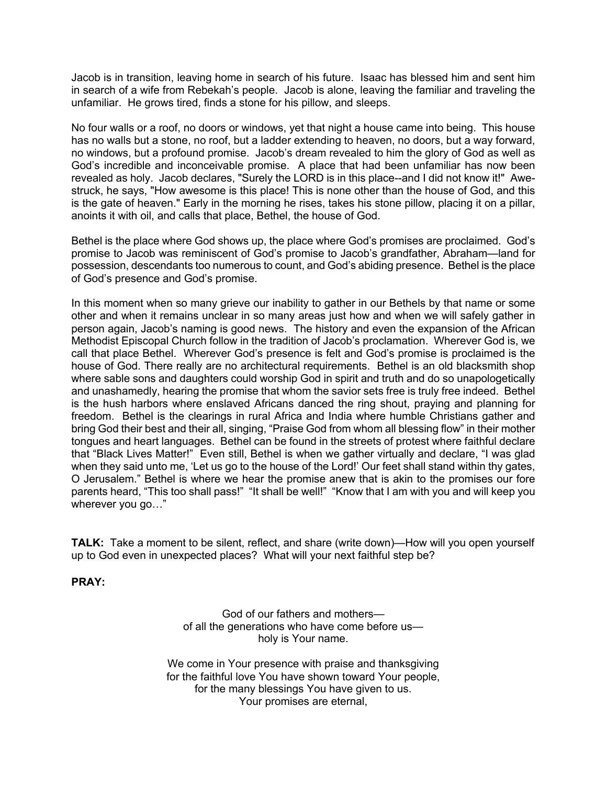Jacob is in transition, leaving home in search of his future. Isaac has blessed him and sent him in search of a wife from Rebekah's people. Jacob is alone, leaving the familiar and traveling the unfamiliar. He grows tired, finds a stone for his pillow, and sleeps.

No four walls or a roof, no doors or windows, yet that night a house came into being. This house has no walls but a stone, no roof, but a ladder extending to heaven, no doors, but a way forward, no windows, but a profound promise. Jacob's dream revealed to him the glory of God as well as God's incredible and inconceivable promise. A place that had been unfamiliar has now been revealed as holy. Jacob declares, "Surely the LORD is in this place--and I did not know it!" Awestruck, he says, "How awesome is this place! This is none other than the house of God, and this is the gate of heaven." Early in the morning he rises, takes his stone pillow, placing it on a pillar, anoints it with oil, and calls that place, Bethel, the house of God.

Bethel is the place where God shows up, the place where God's promises are proclaimed. God's promise to Jacob was reminiscent of God's promise to Jacob's grandfather, Abraham—land for possession, descendants too numerous to count, and God's abiding presence. Bethel is the place of God's presence and God's promise.

In this moment when so many grieve our inability to gather in our Bethels by that name or some other and when it remains unclear in so many areas just how and when we will safely gather in person again, Jacob's naming is good news. The history and even the expansion of the African Methodist Episcopal Church follow in the tradition of Jacob's proclamation. Wherever God is, we call that place Bethel. Wherever God's presence is felt and God's promise is proclaimed is the house of God. There really are no architectural requirements. Bethel is an old blacksmith shop where sable sons and daughters could worship God in spirit and truth and do so unapologetically and unashamedly, hearing the promise that whom the savior sets free is truly free indeed. Bethel is the hush harbors where enslaved Africans danced the ring shout, praying and planning for freedom. Bethel is the clearings in rural Africa and India where humble Christians gather and bring God their best and their all, singing, "Praise God from whom all blessing flow" in their mother tongues and heart languages. Bethel can be found in the streets of protest where faithful declare that "Black Lives Matter!" Even still, Bethel is when we gather virtually and declare, "I was glad when they said unto me, 'Let us go to the house of the Lord!' Our feet shall stand within thy gates, O Jerusalem." Bethel is where we hear the promise anew that is akin to the promises our fore parents heard, "This too shall pass!" "It shall be well!" "Know that I am with you and will keep you wherever you go…"

**TALK:** Take a moment to be silent, reflect, and share (write down)—How will you open yourself up to God even in unexpected places? What will your next faithful step be?

**PRAY:**

God of our fathers and mothers of all the generations who have come before us holy is Your name.

We come in Your presence with praise and thanksgiving for the faithful love You have shown toward Your people, for the many blessings You have given to us. Your promises are eternal,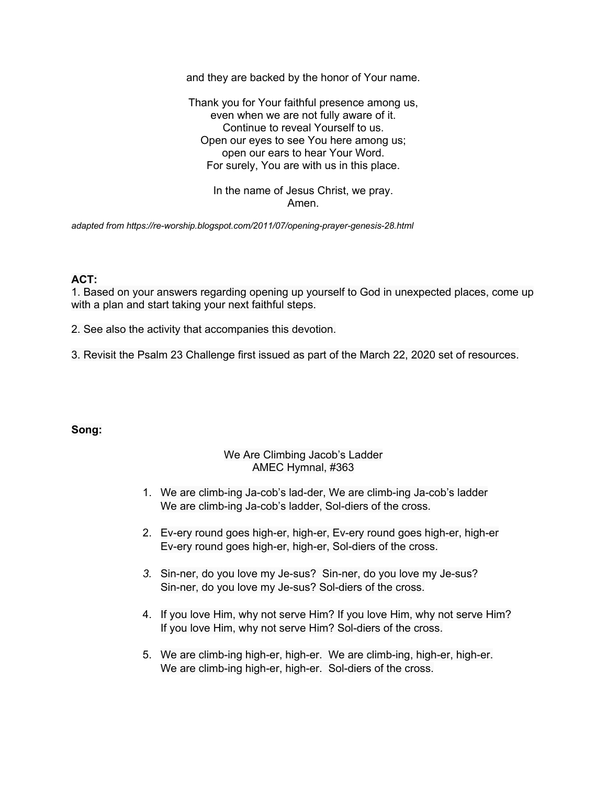and they are backed by the honor of Your name.

Thank you for Your faithful presence among us, even when we are not fully aware of it. Continue to reveal Yourself to us. Open our eyes to see You here among us; open our ears to hear Your Word. For surely, You are with us in this place.

> In the name of Jesus Christ, we pray. Amen.

*adapted from https://re-worship.blogspot.com/2011/07/opening-prayer-genesis-28.html*

### **ACT:**

1. Based on your answers regarding opening up yourself to God in unexpected places, come up with a plan and start taking your next faithful steps.

2. See also the activity that accompanies this devotion.

3. Revisit the Psalm 23 Challenge first issued as part of the March 22, 2020 set of resources.

#### **Song:**

#### We Are Climbing Jacob's Ladder AMEC Hymnal, #363

- 1. We are climb-ing Ja-cob's lad-der, We are climb-ing Ja-cob's ladder We are climb-ing Ja-cob's ladder, Sol-diers of the cross.
- 2. Ev-ery round goes high-er, high-er, Ev-ery round goes high-er, high-er Ev-ery round goes high-er, high-er, Sol-diers of the cross.
- *3.* Sin-ner, do you love my Je-sus? Sin-ner, do you love my Je-sus? Sin-ner, do you love my Je-sus? Sol-diers of the cross.
- 4. If you love Him, why not serve Him? If you love Him, why not serve Him? If you love Him, why not serve Him? Sol-diers of the cross.
- 5. We are climb-ing high-er, high-er. We are climb-ing, high-er, high-er. We are climb-ing high-er, high-er. Sol-diers of the cross.